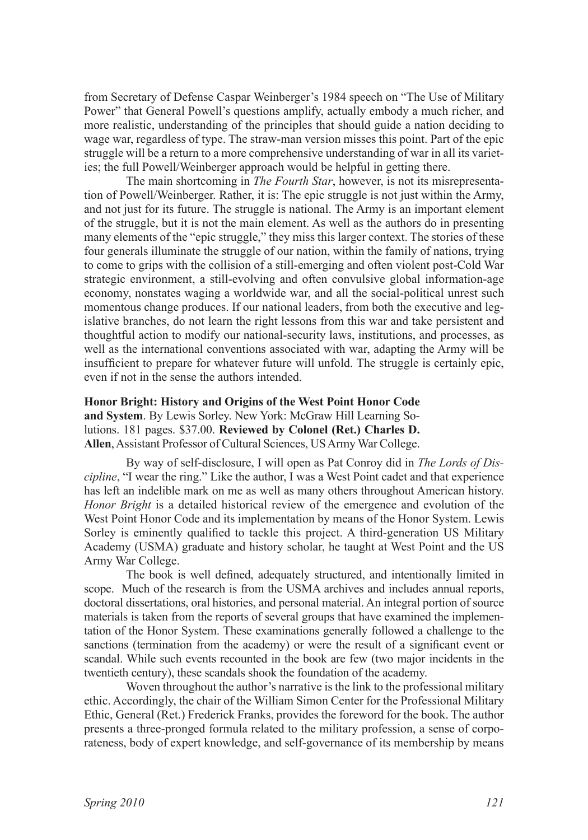from Secretary of Defense Caspar Weinberger's 1984 speech on "The Use of Military Power" that General Powell's questions amplify, actually embody a much richer, and more realistic, understanding of the principles that should guide a nation deciding to wage war, regardless of type. The straw-man version misses this point. Part of the epic struggle will be a return to a more comprehensive understanding of war in all its varieties; the full Powell/Weinberger approach would be helpful in getting there.

The main shortcoming in *The Fourth Star*, however, is not its misrepresentation of Powell/Weinberger. Rather, it is: The epic struggle is not just within the Army, and not just for its future. The struggle is national. The Army is an important element of the struggle, but it is not the main element. As well as the authors do in presenting many elements of the "epic struggle," they miss this larger context. The stories of these four generals illuminate the struggle of our nation, within the family of nations, trying to come to grips with the collision of a still-emerging and often violent post-Cold War strategic environment, a still-evolving and often convulsive global information-age economy, nonstates waging a worldwide war, and all the social-political unrest such momentous change produces. If our national leaders, from both the executive and legislative branches, do not learn the right lessons from this war and take persistent and thoughtful action to modify our national-security laws, institutions, and processes, as well as the international conventions associated with war, adapting the Army will be insufficient to prepare for whatever future will unfold. The struggle is certainly epic, even if not in the sense the authors intended.

**Honor Bright: History and Origins of the West Point Honor Code and System**. By Lewis Sorley. New York: McGraw Hill Learning Solutions. 181 pages. \$37.00. **Reviewed by Colonel (Ret.) Charles D. Allen**, Assistant Professor of Cultural Sciences, US Army War College.

By way of self-disclosure, I will open as Pat Conroy did in *The Lords of Discipline*, "I wear the ring." Like the author, I was a West Point cadet and that experience has left an indelible mark on me as well as many others throughout American history. *Honor Bright* is a detailed historical review of the emergence and evolution of the West Point Honor Code and its implementation by means of the Honor System. Lewis Sorley is eminently qualified to tackle this project. A third-generation US Military Academy (USMA) graduate and history scholar, he taught at West Point and the US Army War College.

The book is well defined, adequately structured, and intentionally limited in scope. Much of the research is from the USMA archives and includes annual reports, doctoral dissertations, oral histories, and personal material. An integral portion of source materials is taken from the reports of several groups that have examined the implementation of the Honor System. These examinations generally followed a challenge to the sanctions (termination from the academy) or were the result of a significant event or scandal. While such events recounted in the book are few (two major incidents in the twentieth century), these scandals shook the foundation of the academy.

Woven throughout the author's narrative is the link to the professional military ethic. Accordingly, the chair of the William Simon Center for the Professional Military Ethic, General (Ret.) Frederick Franks, provides the foreword for the book. The author presents a three-pronged formula related to the military profession, a sense of corporateness, body of expert knowledge, and self-governance of its membership by means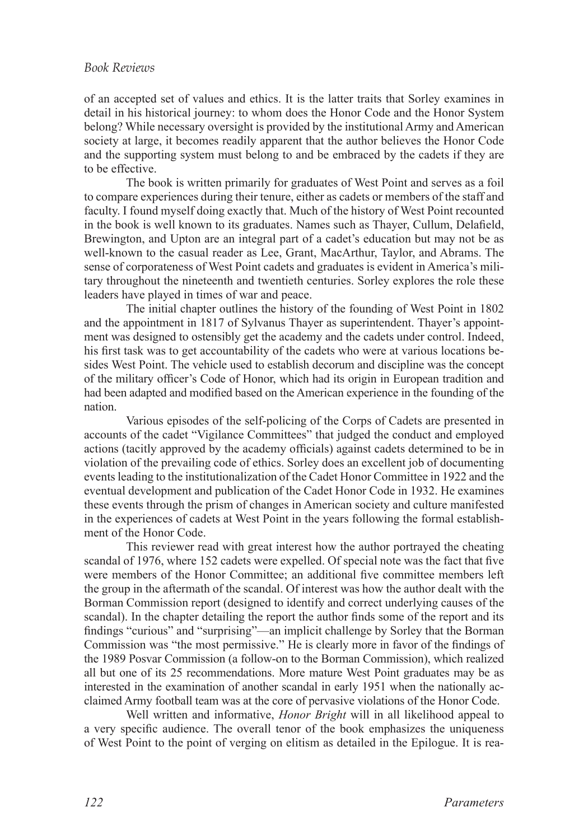of an accepted set of values and ethics. It is the latter traits that Sorley examines in detail in his historical journey: to whom does the Honor Code and the Honor System belong? While necessary oversight is provided by the institutional Army and American society at large, it becomes readily apparent that the author believes the Honor Code and the supporting system must belong to and be embraced by the cadets if they are to be effective.

The book is written primarily for graduates of West Point and serves as a foil to compare experiences during their tenure, either as cadets or members of the staff and faculty. I found myself doing exactly that. Much of the history of West Point recounted in the book is well known to its graduates. Names such as Thayer, Cullum, Delafield, Brewington, and Upton are an integral part of a cadet's education but may not be as well-known to the casual reader as Lee, Grant, MacArthur, Taylor, and Abrams. The sense of corporateness of West Point cadets and graduates is evident in America's military throughout the nineteenth and twentieth centuries. Sorley explores the role these leaders have played in times of war and peace.

The initial chapter outlines the history of the founding of West Point in 1802 and the appointment in 1817 of Sylvanus Thayer as superintendent. Thayer's appointment was designed to ostensibly get the academy and the cadets under control. Indeed, his first task was to get accountability of the cadets who were at various locations besides West Point. The vehicle used to establish decorum and discipline was the concept of the military officer's Code of Honor, which had its origin in European tradition and had been adapted and modified based on the American experience in the founding of the nation.

Various episodes of the self-policing of the Corps of Cadets are presented in accounts of the cadet "Vigilance Committees" that judged the conduct and employed actions (tacitly approved by the academy officials) against cadets determined to be in violation of the prevailing code of ethics. Sorley does an excellent job of documenting events leading to the institutionalization of the Cadet Honor Committee in 1922 and the eventual development and publication of the Cadet Honor Code in 1932. He examines these events through the prism of changes in American society and culture manifested in the experiences of cadets at West Point in the years following the formal establishment of the Honor Code.

This reviewer read with great interest how the author portrayed the cheating scandal of 1976, where 152 cadets were expelled. Of special note was the fact that five were members of the Honor Committee; an additional five committee members left the group in the aftermath of the scandal. Of interest was how the author dealt with the Borman Commission report (designed to identify and correct underlying causes of the scandal). In the chapter detailing the report the author finds some of the report and its findings "curious" and "surprising"—an implicit challenge by Sorley that the Borman Commission was "the most permissive." He is clearly more in favor of the findings of the 1989 Posvar Commission (a follow-on to the Borman Commission), which realized all but one of its 25 recommendations. More mature West Point graduates may be as interested in the examination of another scandal in early 1951 when the nationally acclaimed Army football team was at the core of pervasive violations of the Honor Code.

Well written and informative, *Honor Bright* will in all likelihood appeal to a very specific audience. The overall tenor of the book emphasizes the uniqueness of West Point to the point of verging on elitism as detailed in the Epilogue. It is rea